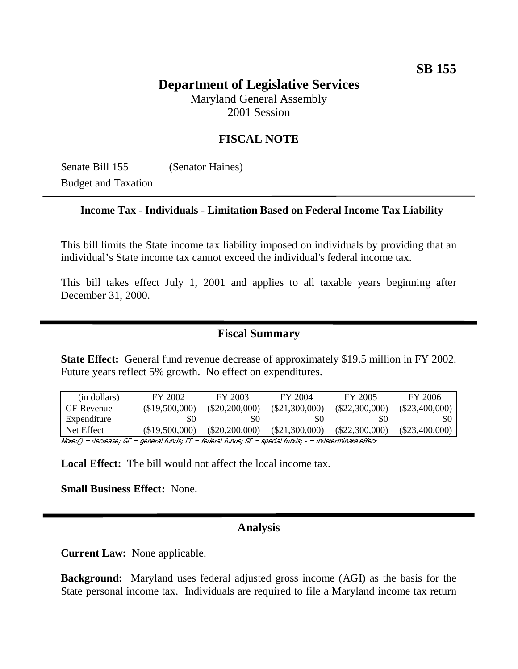# **SB 155**

## **Department of Legislative Services**

Maryland General Assembly 2001 Session

## **FISCAL NOTE**

Senate Bill 155 (Senator Haines)

Budget and Taxation

#### **Income Tax - Individuals - Limitation Based on Federal Income Tax Liability**

This bill limits the State income tax liability imposed on individuals by providing that an individual's State income tax cannot exceed the individual's federal income tax.

This bill takes effect July 1, 2001 and applies to all taxable years beginning after December 31, 2000.

### **Fiscal Summary**

**State Effect:** General fund revenue decrease of approximately \$19.5 million in FY 2002. Future years reflect 5% growth. No effect on expenditures.

| (in dollars)      | FY 2002        | FY 2003          | FY 2004          | FY 2005          | FY 2006          |
|-------------------|----------------|------------------|------------------|------------------|------------------|
| <b>GF</b> Revenue | (\$19,500,000) | $(\$20,200,000)$ | $(\$21,300,000)$ | $(\$22,300,000)$ | $(\$23,400,000)$ |
| Expenditure       | \$0            | \$0              | \$0              | \$0              | \$0              |
| Net Effect        | (S19.500.000)  | (S20.200.000)    | (\$21,300,000)   | $(\$22,300,000)$ | $(\$23,400,000)$ |

 $Note:() = decrease; GF = general funds; FF = federal funds; SF = special funds; S = special funds; -: and the effect$ 

**Local Effect:** The bill would not affect the local income tax.

**Small Business Effect:** None.

## **Analysis**

**Current Law:** None applicable.

**Background:** Maryland uses federal adjusted gross income (AGI) as the basis for the State personal income tax. Individuals are required to file a Maryland income tax return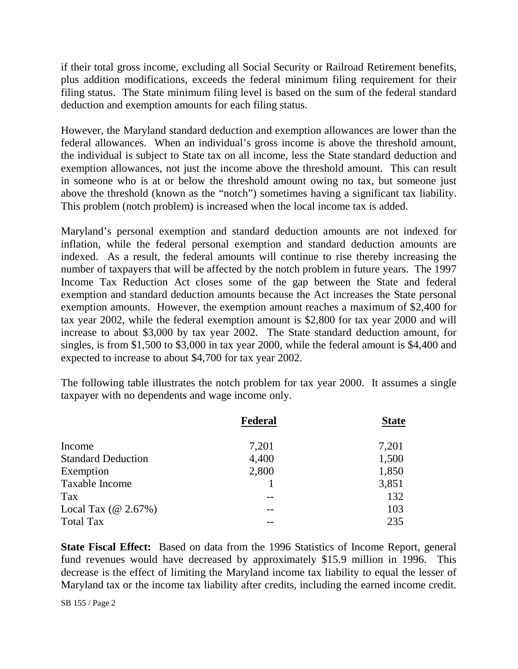if their total gross income, excluding all Social Security or Railroad Retirement benefits, plus addition modifications, exceeds the federal minimum filing requirement for their filing status. The State minimum filing level is based on the sum of the federal standard deduction and exemption amounts for each filing status.

However, the Maryland standard deduction and exemption allowances are lower than the federal allowances. When an individual's gross income is above the threshold amount, the individual is subject to State tax on all income, less the State standard deduction and exemption allowances, not just the income above the threshold amount. This can result in someone who is at or below the threshold amount owing no tax, but someone just above the threshold (known as the "notch") sometimes having a significant tax liability. This problem (notch problem) is increased when the local income tax is added.

Maryland's personal exemption and standard deduction amounts are not indexed for inflation, while the federal personal exemption and standard deduction amounts are indexed. As a result, the federal amounts will continue to rise thereby increasing the number of taxpayers that will be affected by the notch problem in future years. The 1997 Income Tax Reduction Act closes some of the gap between the State and federal exemption and standard deduction amounts because the Act increases the State personal exemption amounts. However, the exemption amount reaches a maximum of \$2,400 for tax year 2002, while the federal exemption amount is \$2,800 for tax year 2000 and will increase to about \$3,000 by tax year 2002. The State standard deduction amount, for singles, is from \$1,500 to \$3,000 in tax year 2000, while the federal amount is \$4,400 and expected to increase to about \$4,700 for tax year 2002.

The following table illustrates the notch problem for tax year 2000. It assumes a single taxpayer with no dependents and wage income only.

|                                      | Federal | <b>State</b> |
|--------------------------------------|---------|--------------|
| Income                               | 7,201   | 7,201        |
| <b>Standard Deduction</b>            | 4,400   | 1,500        |
| Exemption                            | 2,800   | 1,850        |
| Taxable Income                       |         | 3,851        |
| Tax                                  |         | 132          |
| Local Tax $(\textcircled{a} 2.67\%)$ |         | 103          |
| <b>Total Tax</b>                     |         | 235          |

**State Fiscal Effect:** Based on data from the 1996 Statistics of Income Report, general fund revenues would have decreased by approximately \$15.9 million in 1996. This decrease is the effect of limiting the Maryland income tax liability to equal the lesser of Maryland tax or the income tax liability after credits, including the earned income credit.